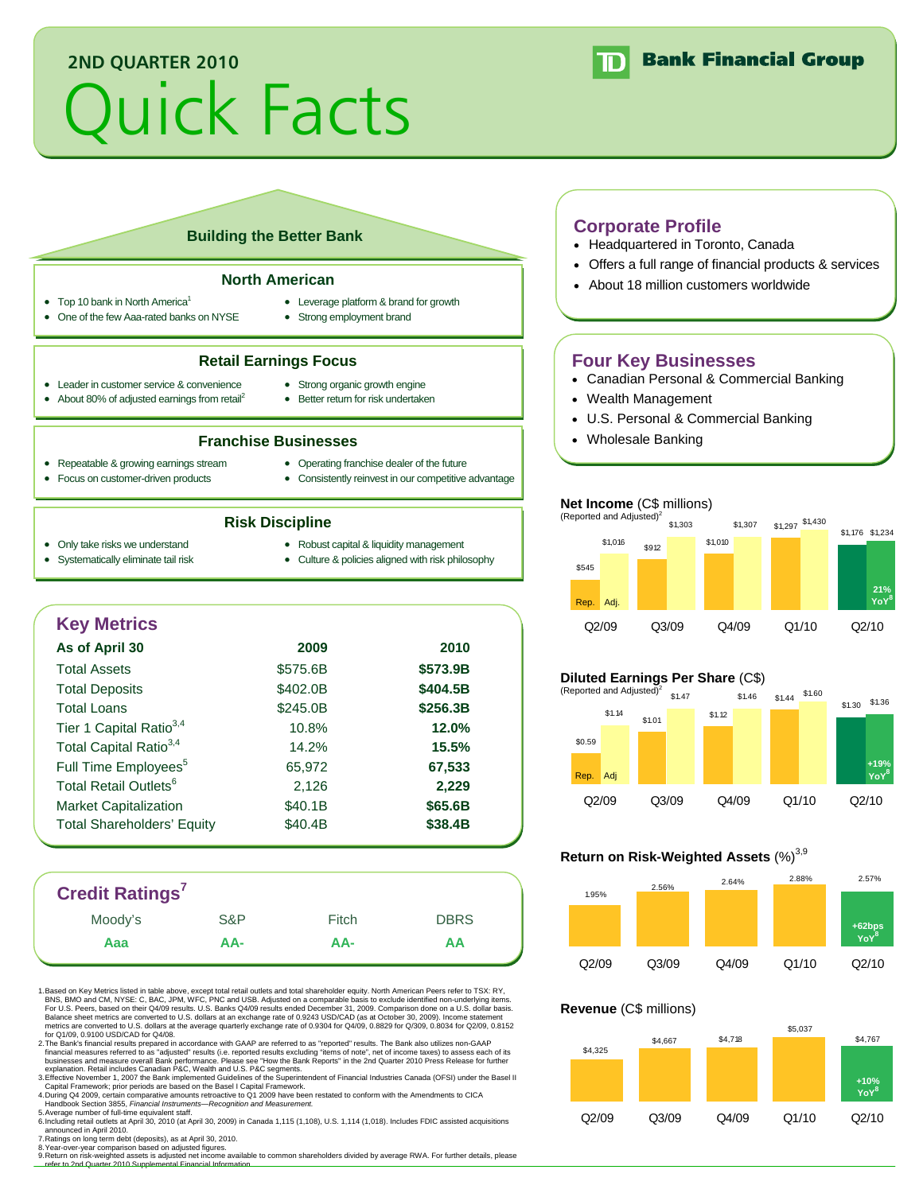## **2ND QUARTER 2010**

# Quick Facts



#### **Building the Better Bank**

#### **North American**

- Top 10 bank in North America<sup>1</sup>
- One of the few Aaa-rated banks on NYSE
- Leverage platform & brand for growth
- Strong employment brand

#### **Retail Earnings Focus**

**Franchise Businesses** 

- Leader in customer service & convenience • About 80% of adjusted earnings from retail<sup>2</sup>
- Strong organic growth engine • Better return for risk undertaken
- 
- Repeatable & growing earnings stream
- Operating franchise dealer of the future
- Focus on customer-driven products
- Consistently reinvest in our competitive advantage
- - **Risk Discipline**
- Only take risks we understand
- Robust capital & liquidity management
- Systematically eliminate tail risk
- Culture & policies aligned with risk philosophy
- **Key Metrics As of April 30 2009 2010**  Total Assets \$575.6B **\$573.9B** Total Deposits \$402.0B **\$404.5B** Total Loans \$245.0B **\$256.3B** Tier 1 Capital Ratio3,4 10.8% **12.0%** Total Capital Ratio3,4 14.2% **15.5%** Full Time Employees<sup>5</sup> 65,972 **67,533** Total Retail Outlets<sup>6</sup> 2,126 2,229 Market Capitalization  $$40.1B$  **\$65.6B** Total Shareholders' Equity  $$40.4B$   $$38.4B$

## **Credit Ratings7**

| <b>UIGUIL NATHLYS</b> |     |       |             |
|-----------------------|-----|-------|-------------|
| Moody's               | S&P | Fitch | <b>DBRS</b> |
| Aaa                   | AA- | AA-   | ΑA          |
|                       |     |       |             |

1. Based on Key Metrics listed in table above, except total retail outlets and total shareholder equity. North American Peers refer to TSX: RY, BNS, BMO and CM, NYSE: C, BAC, JPM, WFC, PNC and USB. Adjusted on a comparable basis to exclude identified non-underlying items.<br>For U.S. Peers, based on their Q4/09 results. U.S. Banks Q4/09 results ended December 31, 200 Balance sheet metrics are converted to U.S. dollars at an exchange rate of 0.9243 USD/CAD (as at October 30, 2009). Income statement<br>metrics are converted to U.S. dollars at the average quarterly exchange rate of 0.9304 fo

2. The Bank's financial results prepared in accordance with GAAP are referred to as "reported" results. The Bank also utilizes non-GAAP financial measures referred to as "adjusted" results (i.e. reported results excluding "items of note", net of income taxes) to assess each of its<br>businesses and measure overall Bank performance. Please see "How the Bank Re

explanation. Retail includes Canadian P&C, Wealth and U.S. P&C segments.<br>3.Effective November 1, 2007 the Bank implemented Guidelines of the Superintendent of Financial Industries Canada (OFSI) under the Basel II<br>○Capital 4. During Q4 2009, certain comparative amounts retroactive to Q1 2009 have been restated to conform with the Amendments to CICA

\_ Handbook Section 3855*, Financial Instruments—Recognition and Measurement.*<br>5.Average number of full-time equivalent staff.<br>6.Including retail outlets at April 30, 2010 (at April 30, 2009) in Canada 1,115 (1,108), U.S.

announced in April 2010. 7. Ratings on long term debt (deposits), as at April 30, 2010.

8. Year-over-year comparison based on adjusted figures.

9. Return on risk-weighted assets is adjusted net income available to common shareholders divided by average RWA. For further details, please<br>—refer to 2nd Quarter 2010 Supplemental Financial Information.

#### **Corporate Profile**

- Headquartered in Toronto, Canada
- Offers a full range of financial products & services
- About 18 million customers worldwide

### **Four Key Businesses**

- Canadian Personal & Commercial Banking
- Wealth Management
- U.S. Personal & Commercial Banking
- Wholesale Banking

#### **Net Income** (C\$ millions)



#### **Diluted Earnings Per Share** (C\$)



#### **Return on Risk-Weighted Assets (%)**<sup>3,9</sup>



#### **Revenue** (C\$ millions)